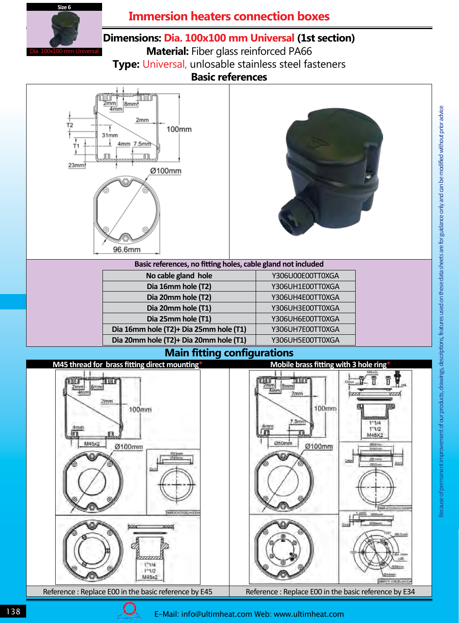

## **Immersion heaters connection boxes**

### **Dimensions: Dia. 100x100 mm Universal (1st section)**

**Material:** Fiber glass reinforced PA66 **Type:** Universal, unlosable stainless steel fasteners **Basic references** 





| Basic references, no fitting holes, cable gland not included |                  |
|--------------------------------------------------------------|------------------|
| No cable gland hole                                          | Y306U00E00TT0XGA |
| Dia 16mm hole (T2)                                           | Y306UH1E00TT0XGA |
| Dia 20mm hole (T2)                                           | Y306UH4E00TT0XGA |
| Dia 20mm hole (T1)                                           | Y306UH3E00TT0XGA |
| Dia 25mm hole (T1)                                           | Y306UH6E00TT0XGA |
| Dia 16mm hole (T2)+ Dia 25mm hole (T1)                       | Y306UH7E00TT0XGA |
| Dia 20mm hole (T2)+ Dia 20mm hole (T1)                       | Y306UH5E00TT0XGA |

#### **Main fitting configurations**



Unless exceptionally specified by this logo , products and components in this catalogue are made by Ultimheat alliance members.